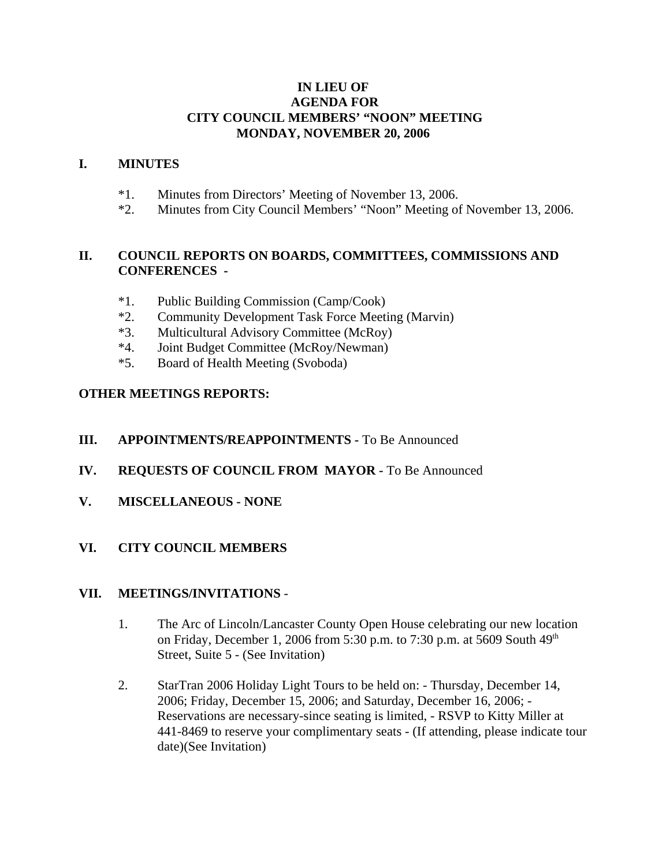#### **IN LIEU OF AGENDA FOR CITY COUNCIL MEMBERS' "NOON" MEETING MONDAY, NOVEMBER 20, 2006**

#### **I. MINUTES**

- \*1. Minutes from Directors' Meeting of November 13, 2006.
- \*2. Minutes from City Council Members' "Noon" Meeting of November 13, 2006.

## **II. COUNCIL REPORTS ON BOARDS, COMMITTEES, COMMISSIONS AND CONFERENCES -**

- \*1. Public Building Commission (Camp/Cook)
- \*2. Community Development Task Force Meeting (Marvin)
- \*3. Multicultural Advisory Committee (McRoy)
- \*4. Joint Budget Committee (McRoy/Newman)
- \*5. Board of Health Meeting (Svoboda)

# **OTHER MEETINGS REPORTS:**

## **III.** APPOINTMENTS/REAPPOINTMENTS - To Be Announced

- **IV. REQUESTS OF COUNCIL FROM MAYOR -** To Be Announced
- **V. MISCELLANEOUS NONE**

# **VI. CITY COUNCIL MEMBERS**

## **VII. MEETINGS/INVITATIONS** -

- 1. The Arc of Lincoln/Lancaster County Open House celebrating our new location on Friday, December 1, 2006 from 5:30 p.m. to 7:30 p.m. at 5609 South  $49<sup>th</sup>$ Street, Suite 5 - (See Invitation)
- 2. StarTran 2006 Holiday Light Tours to be held on: Thursday, December 14, 2006; Friday, December 15, 2006; and Saturday, December 16, 2006; - Reservations are necessary-since seating is limited, - RSVP to Kitty Miller at 441-8469 to reserve your complimentary seats - (If attending, please indicate tour date)(See Invitation)